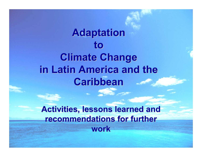# **Adaptation to Climate Change Climate Change in Latin America and the Caribbean Caribbean**

**Activities, lessons learned and recommendations for further work**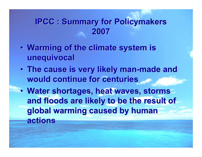### **IPCC : Summary for Policymakers IPCC : Summary for Policymakers 2007**

- $\bullet$ **Warming of the climate system is unequivocal unequivocal**
- **The cause is very likely man-made and would continue for centuries would continue for centuries**
- Water shortages, heat waves, storms and floods are likely to be the result of **global warming caused by human global warming caused by human actions actions**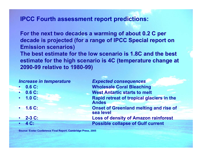#### **IPCC Fourth assessment report predictions:**

For the next two decades a warming of about 0.2 C per decade is projected (for a range of IPCC Special report on **Emission scenarios)** The best estimate for the low scenario is 1.8C and the best **estimate for the high scenario is 4C (temperature change at 2090 -99 relative to 1980 99 relative to 1980 -99)**

- •
- •
- •
- •
- •
- •

*Increase in temperature Expected consequences* **0.6 C: Wholesale Coral Bleaching 0.6 C: West Antartic starts to melt 1.0 C: Rapid retreat of tropical glaciers in the Andes 1.6 C: Onset of Greenland melting and rise of sea level 2-3 C: Loss of density of Amazon rainforest 4 C: Possible collapse of Gulf current**

**So urce: Exeter C o nference Final Report, Cambridg e Press, 2005**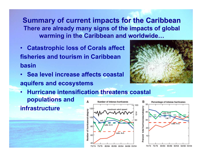**Summary of current impacts for the Caribbean** There are already many signs of the impacts of global **warming in the Caribbean and worldwide…** 

- $\bullet$  **Catastrophic loss of Corals affect fisheries and tourism in Caribbean basin**
- • **Sea level increase affects coastal aquifers and ecosystems**
- **Hurricane intensification threatens coastal**  •**populations and** Δ в Number of intense hurricanes 50 100 **infrastructure**



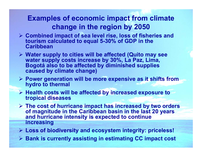#### **Examples of economic impact from climate change in the region by 2050**

- ¾ **Combined impact of sea level rise, loss of fisheries and tourism calculated to equal 5-30% of GDP in the Caribbean**
- ¾ **Water supply to cities will be affected (Quito may see water supply costs increase by 30%, La Paz, Lima, Bogotá also to be affected by diminished supplies caused by climate change)**
- ¾ **Power generation will be more expensive as it shifts from hydro to thermal**
- ¾ **Health costs will be affected by increased exposure to tropical diseases**
- ¾ **The cost of hurricane impact has increased by two orders of magnitude in the Caribbean basin in the last 20 years and hurricane intensity is expected to continue increasing**
- ¾ **Loss of biodiversity and ecosystem integrity: priceless!**
- ¾ **Bank is currently assisting in estimating CC impact cost**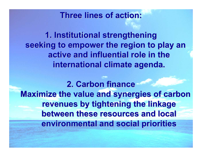### **Three lines of action: Three lines of action:**

**1. Institutional strengthening 1. Institutional strengthening** seeking to empower the region to play an **active and influential role in the active and influential role in the**  international climate agenda.

**2. Carbon finance 2. Carbon financeMaximize the value and synergies of carbon revenues by tightening the linkage between these resources and local between these resources and local environmental and social priorities**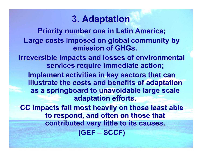### **3. Adaptation 3. Adaptation**

**Priority number one in Latin America;** Large costs imposed on global community by **emission of GHGs.** 

**Irreversible impacts and losses of environmental** services require immediate action;

**Implement activities in key sectors that can illustrate the costs and benefits of adaptation as a springboard to unavoidable large scale adaptation efforts. adaptation efforts.**

**CC impacts fall most heavily on those least able** to respond, and often on those that **contributed very little to its causes. contributed very little to its causes. (GEF - SCCF)**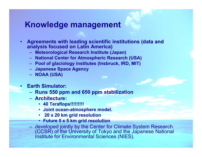#### **Knowledge management Knowledge management**

- •**Agreements with leading scientific institutions (data and analysis focused on Latin America)** 
	- **Meteorological Research Institute (Japan) Meteorological Research Institute (Japan)**
	- **National Center for Atmospheric Research (USA) National Center for Atmospheric Research (USA)**
	- **Pool of glaciology institutes ( Pool of glaciology institutes (Insbruck Insbruck, IRD, MIT) , IRD, MIT)**
	- **Japanese Space Agency Japanese Space Agency**
	- **NOAA (USA) NOAA (USA)**
- **Earth Simulator: Earth Simulator:**
	- **Runs 550 ppm and 650 ppm stabilization**
	- **Architecture:**
		- **40 Teraflops!!!!!!!!!**
		- **Joint ocean-atmosphere model.**
		- **20 x 20 km grid resolution**
		- •**Future 5 x 5 km grid resolution**
	- developed jointly by the Center for Climate System Research (CCSR) of the University of Tokyo and the Japanese National Institute for Environmental Sciences (NIES).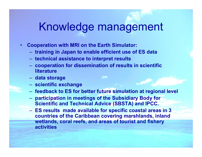# Knowledge management

- • **Cooperation with MRI on the Earth Simulator:** 
	- **training in Japan to enable efficient use of ES data**
	- **technical assistance to interpret results**
	- **cooperation for dissemination of results in scientific literature**
	- **data storage**
	- **scientific exchange**
	- **feedback to ES for better future simulation at regional level**
	- **participation in meetings of the Subsidiary Body for Scientific and Technical Advice (SBSTA) and IPCC.**
	- **ES results made available for specific coastal areas in 3 countries of the Caribbean covering marshland s, inland wetlands, coral reefs, and areas of tourist and fishery activities**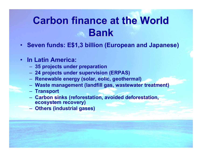# **Carbon finance at the World Bank**

• **Seven funds: E\$1,3 billion (European and Japanese)**

#### • **In Latin America:**

- **35 projects under preparation**
- **24 projects under supervision (ERPAS)**
- **Renewable energy (solar, eolic, geothermal)**
- **Waste management (landfill gas, wastewater treatment)**
- **Transport**
- **Carbo n sinks (reforestation, avoided deforestation, ecosystem recovery)**
- **Others (industrial gases)**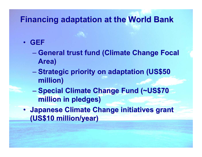### **Financing adaptation at the World Bank Financing adaptation at the World Bank**

#### • **GEF**

- $\mathcal{L}_{\mathcal{A}}$  , and the set of the set of the set of the set of the set of the set of the set of the set of the set of the set of the set of the set of the set of the set of the set of the set of the set of the set of th **– General trust fund (Climate Change Focal Area)**
- **Strategic priority on adaptation (US\$50 million) million)**
- $\mathcal{L}_{\mathcal{A}}$  , and the set of the set of the set of the set of the set of the set of the set of the set of the set of the set of the set of the set of the set of the set of the set of the set of the set of the set of th **Special Climate Change Fund (~US\$70 \,one million in pledges) million in pledges)**
- **Japanese Climate Change initiatives grant (US\$10 million/year) (US\$10 million/year)**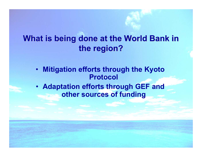### **What is being done at the World Bank in the region? the region?**

- **Mitigation efforts through the Kyoto Protocol**
- **Adaptation efforts through GEF and other sources of funding**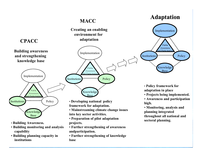#### **MACC**

#### **Adaptation**

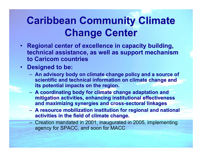# **Caribbean Community Climate Change Center Change Center**

- **Regional center of excellence in capacity building,** technical assistance, as well as support mechanism **to Caricom Caricom countries countries**
- **Designed to be: Designed to be:**
	- **An advisory body on climate change policy and a source of An advisory body on climate change policy and a source of**  scientific and technical information on climate change and **its potential impacts on the region.**
	- **A** coordinating body for climate change adaptation and **mitigation activities, enhancing institutional effectiveness mitigation activities, enhancing institutional effectiveness and maximizing synergies and cross and maximizing synergies and cross -sectoral sectoral linkages linkages**
	- **A** resource mobilization institution for regional and national **activities in the field of climate change. activities in the field of climate change.**
	- Creation mandated in 2001, inaugurated in 2005, implementing agency for SPACC, and soon for MACC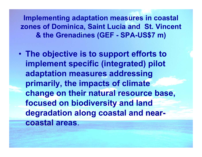**Implementing adaptation measures in coastal zones of Dominica, Saint Lucia and St. Vincent & the Grenadines (GEF - SPA-US\$7 m)**

• **The objective is to support efforts to implement specific (integrated) pilot adaptation measures addressing primarily, the impacts of climate change on their natural resource base, focused on biodiversity and land degradation along coastal and near coastal coastal areas**.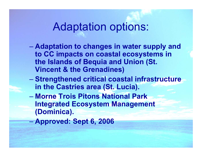### Adaptation options:

- **Adaptation to changes in water supply and to CC impacts on coastal ecosystems in the Islands of Bequia and Union (St. Vincent & the Grenadines)**
- **Strengthened critical coastal infrastructure in the Castries area (St. Lucia).**
- **Morne Trois Pitons National Park Integrated Ecosystem Management (Dominica).**
- **Approved: Sept 6, 2006**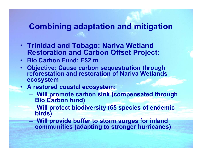### **Combining adaptation and mitigation**

- **Trinidad and Tobago: Nariva Wetland Restoration and Carbon Offset Project:**
- **Bio Carbon Fund: E\$2 m**
- **Objective: Cause carbon sequestration through reforestation and restoration of Nariva Wetlands ecosystem**
- **A restored coastal ecosystem:**
	- **Will promote carbon sink (compensated through Bio Carbon fund)**
	- **Will protect biodiversity (65 species of endemic birds)**
	- **Will provide buffer to storm surges for inland communities (adapting to stronger hurricanes)**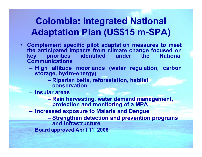### **Colombia: Integrated National Adaptation Plan (US\$15 m-SPA)**

- **Complement specific pilot adaptation measures to meet the anticipated impacts from climate change focused on key priorities Communications**
	- **High altitude moorlands (water regulation, carbon storage, hydro-energy)**
		- **Riparian belts, reforestation, habitat conservation**
	- **Ins ular areas**
		- **Rain harvesting, water demand management, protection and monitoring of a MPA**
	- $\mathcal{L}_{\mathcal{A}}$  , and the set of the set of the set of the set of the set of the set of the set of the set of the set of the set of the set of the set of the set of the set of the set of the set of the set of the set of th **Increased exposure to Malaria and Dengue**
		- $\mathcal{L}_{\mathcal{A}}$  , and the set of the set of the set of the set of the set of the set of the set of the set of the set of the set of the set of the set of the set of the set of the set of the set of the set of the set of th **Strengthen detection and prevention programs and infrastructure**
	- **Board approved April 11, 2006**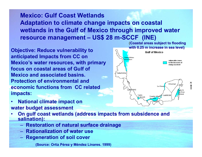**Mexico: Gulf Coast Wetlands Adaptation to climate change impacts on coastal wetlands in the Gulf of Mexico through improved water resource management – US\$ 28 m-SCCF (INE)**

**Objective: Reduce vulnerability to anticipated Impacts from CC on Mexico's water resources, with primary focus on coastal areas of Gulf of Mexico and associated basins. Protection of environmental and economic functions from CC related impacts:** 



- • **National climate impact on water budget assessment**
- • **On gulf coast wetlands (address impacts from subsidence and salination):**
	- **Restoration of natural surface drainage**
	- **Rationalization of water use**
	- **Regeneration of soil cover**

**(Source: Ortiz Pérez y Méndez Linares. 1999)**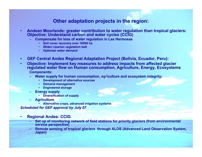#### **Other adaptation projects in the region:**

- • **Andean Moorlands: greater contribution to water regulation than tropical glaciers: Objective: Understand carbon and water cycles (CCIG)**
	- **Compensate for loss of water regulation in Las Hermosas**
		- •**Soil cover recovery over 10000 ha**
		- •**Widen riparian vegetation belt**
		- •**Optimize water demand**
- •**GEF Central Andes Regional Adaptation Project (Bolivia, Ecuador, Peru):**
- • **Objective: Implement key measures to address impacts from affected glacier regulated water flow on Human consumption, Agriculture, Energy, Ecosystems Components:** 
	- **Water supply for human consumption, agriculture and ecosystem integrity:**
		- •**Development of alternative sources**
		- •**Demand management**
		- •**Engineered storage**
	- – **Energy supply**
		- **Diversification of supply**
	- **Agriculture**
		- **Alternative crops, advanced irrigation systems**

*Scheduled for GEF approval by July 07*

- • **Regional Andes: CCIG**
	- **Set up of monitoring network of field stations for priority glaciers (from environmental service perspective)**
	- **Remote sensing of tropical glaciers through ALOS (Advanced Land Observation System, Japan)**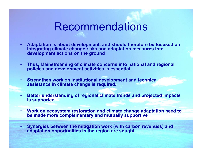# Recommendations

- • **Adaptation is about development, and should therefore be focused on integrating climate change risks and adaptation measures into development actions on the ground**
- • **Thus, Mainstreaming of climate concerns into national and regional policies and development activities is essential**
- • **Strengthen work on institutional development and technical assistance in climate change is required.**
- • **Better understanding of regional climate trends and projected impacts is supported.**
- • **Work on ecosystem restoration and climate change adaptation need to be made more complementary and mutually supportive**
- • **Synergies between the mitigation work (with carbon revenues) and adaptation opportunities in the region are sought.**